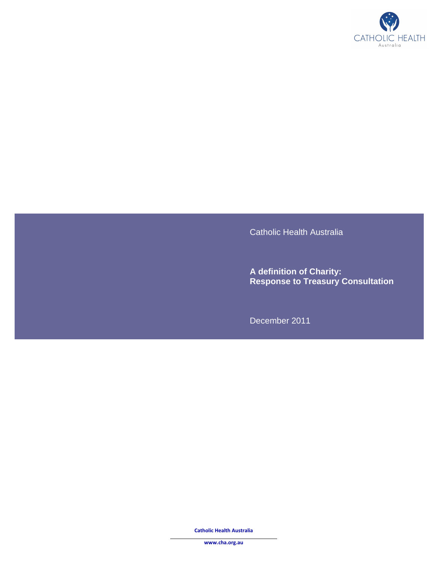

Catholic Health Australia

**A definition of Charity: Response to Treasury Consultation** 

December 2011

 **Catholic Health Australia** 

**www.cha.org.au**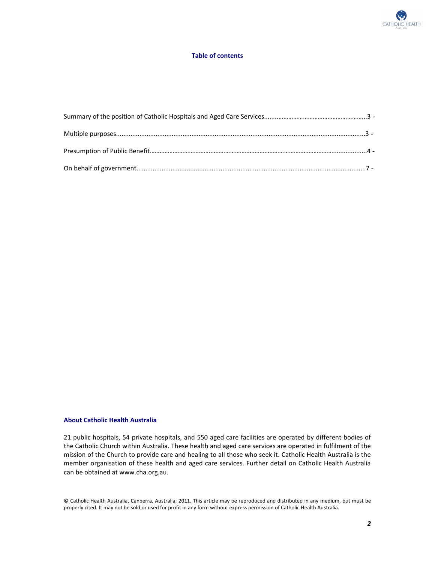

## **Table of contents**

## **About Catholic Health Australia**

 21 public hospitals, 54 private hospitals, and 550 aged care facilities are operated by different bodies of the Catholic Church within Australia. These health and aged care services are operated in fulfilment of the mission of the Church to provide care and healing to all those who seek it. Catholic Health Australia is the member organisation of these health and aged care services. Further detail on Catholic Health Australia can be obtained at www.cha.org.au.

 © Catholic Health Australia, Canberra, Australia, 2011. This article may be reproduced and distributed in any medium, but must be properly cited. It may not be sold or used for profit in any form without express permission of Catholic Health Australia.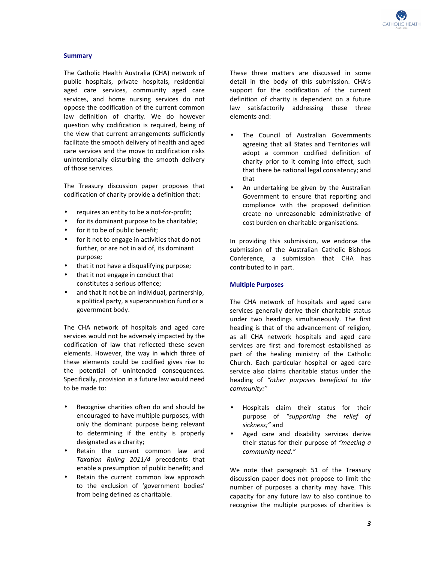

### **Summary**

 The Catholic Health Australia (CHA) network of public hospitals, private hospitals, residential aged care services, community aged care services, and home nursing services do not oppose the codification of the current common law definition of charity. We do however question why codification is required, being of the view that current arrangements sufficiently facilitate the smooth delivery of health and aged care services and the move to codification risks unintentionally disturbing the smooth delivery of those services.

 The Treasury discussion paper proposes that codification of charity provide a definition that:

- • requires an entity to be a not-for-profit;
- for its dominant purpose to be charitable;
- for it to be of public benefit;
- • for it not to engage in activities that do not further, or are not in aid of, its dominant purpose;
- that it not have a disqualifying purpose;
- • that it not engage in conduct that constitutes a serious offence;
- and that it not be an individual, partnership, a political party, a superannuation fund or a government body.

 The CHA network of hospitals and aged care services would not be adversely impacted by the codification of law that reflected these seven elements. However, the way in which three of these elements could be codified gives rise to the potential of unintended consequences. Specifically, provision in a future law would need to be made to:

- • Recognise charities often do and should be encouraged to have multiple purposes, with only the dominant purpose being relevant to determining if the entity is properly designated as a charity;
- • Retain the current common law and  *Taxation Ruling 2011/4* precedents that enable a presumption of public benefit; and
- • Retain the current common law approach to the exclusion of 'government bodies' from being defined as charitable.

 These three matters are discussed in some detail in the body of this submission. CHA's support for the codification of the current definition of charity is dependent on a future law satisfactorily addressing these three elements and:

- • The Council of Australian Governments agreeing that all States and Territories will adopt a common codified definition of charity prior to it coming into effect, such that there be national legal consistency; and that
- • An undertaking be given by the Australian Government to ensure that reporting and compliance with the proposed definition create no unreasonable administrative of cost burden on charitable organisations.

 In providing this submission, we endorse the submission of the Australian Catholic Bishops Conference, a submission that CHA has contributed to in part.

#### **Multiple Purposes**

 The CHA network of hospitals and aged care services generally derive their charitable status under two headings simultaneously. The first heading is that of the advancement of religion, as all CHA network hospitals and aged care services are first and foremost established as part of the healing ministry of the Catholic Church. Each particular hospital or aged care service also claims charitable status under the heading of *"other purposes beneficial to the community:"* 

- • Hospitals claim their status for their purpose of *"supporting the relief of sickness;"* and
- • Aged care and disability services derive their status for their purpose of *"meeting a community need."*

 We note that paragraph 51 of the Treasury discussion paper does not propose to limit the number of purposes a charity may have. This capacity for any future law to also continue to recognise the multiple purposes of charities is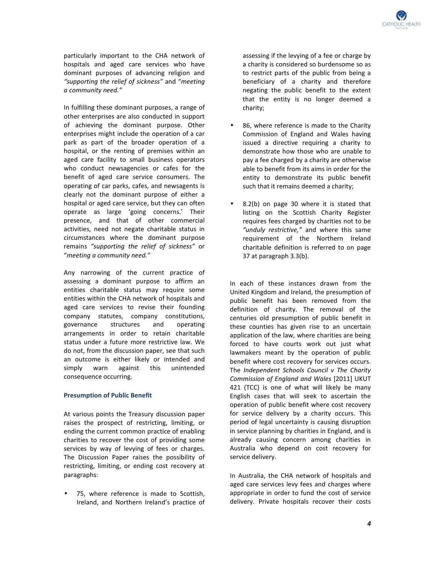particularly important to the CHA network of hospitals and aged care services who have dominant purposes of advancing religion and  *"supporting the relief of sickness"* and "*meeting a community need."* 

 In fulfilling these dominant purposes, a range of other enterprises are also conducted in support of achieving the dominant purpose. Other enterprises might include the operation of a car park as part of the broader operation of a hospital, or the renting of premises within an aged care facility to small business operators who conduct newsagencies or cafes for the benefit of aged care service consumers. The operating of car parks, cafes, and newsagents is clearly not the dominant purpose of either a hospital or aged care service, but they can often operate as large 'going concerns.' Their presence, and that of other commercial activities, need not negate charitable status in circumstances where the dominant purpose  remains *"supporting the relief of sickness"* or  "*meeting a community need."* 

 Any narrowing of the current practice of assessing a dominant purpose to affirm an entities charitable status may require some entities within the CHA network of hospitals and aged care services to revise their founding company statutes, company constitutions, structures arrangements in order to retain charitable status under a future more restrictive law. We do not, from the discussion paper, see that such an outcome is either likely or intended and simply consequence occurring. governance structures and operating warn against this unintended

# **Presumption of Public Benefit**

 At various points the Treasury discussion paper raises the prospect of restricting, limiting, or ending the current common practice of enabling charities to recover the cost of providing some services by way of levying of fees or charges. The Discussion Paper raises the possibility of restricting, limiting, or ending cost recovery at paragraphs:

 • 75, where reference is made to Scottish, Ireland, and Northern Ireland's practice of

 assessing if the levying of a fee or charge by a charity is considered so burdensome so as to restrict parts of the public from being a beneficiary of a charity and therefore negating the public benefit to the extent that the entity is no longer deemed a charity;

- 86, where reference is made to the Charity Commission of England and Wales having issued a directive requiring a charity to demonstrate how those who are unable to pay a fee charged by a charity are otherwise able to benefit from its aims in order for the entity to demonstrate its public benefit such that it remains deemed a charity;
- • 8.2(b) on page 30 where it is stated that listing on the Scottish Charity Register requires fees charged by charities not to be  *"unduly restrictive,"* and where this same requirement of the Northern Ireland charitable definition is referred to on page 37 at paragraph 3.3(b).

 In each of these instances drawn from the United Kingdom and Ireland, the presumption of public benefit has been removed from the definition of charity. The removal of the centuries old presumption of public benefit in these counties has given rise to an uncertain application of the law, where charities are being forced to have courts work out just what lawmakers meant by the operation of public benefit where cost recovery for services occurs.  The *Independent Schools Council v The Charity Commission of England and Wales* [2011] UKUT 421 (TCC) is one of what will likely be many English cases that will seek to ascertain the operation of public benefit where cost recovery for service delivery by a charity occurs. This period of legal uncertainty is causing disruption in service planning by charities in England, and is already causing concern among charities in Australia who depend on cost recovery for service delivery.

 In Australia, the CHA network of hospitals and aged care services levy fees and charges where appropriate in order to fund the cost of service delivery. Private hospitals recover their costs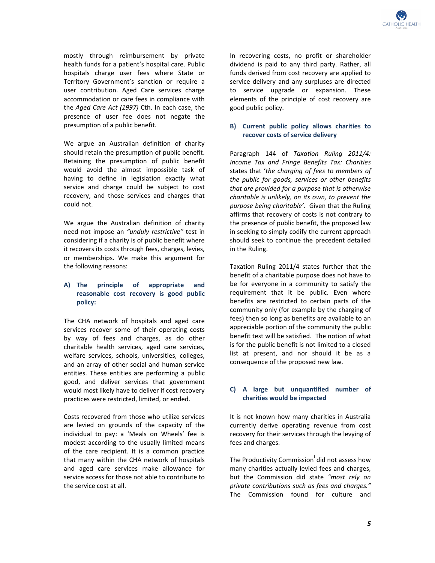

 mostly through reimbursement by private health funds for a patient's hospital care. Public hospitals charge user fees where State or Territory Government's sanction or require a user contribution. Aged Care services charge accommodation or care fees in compliance with  the *Aged Care Act (1997)* Cth. In each case, the presence of user fee does not negate the presumption of a public benefit.

 We argue an Australian definition of charity should retain the presumption of public benefit. Retaining the presumption of public benefit would avoid the almost impossible task of having to define in legislation exactly what service and charge could be subject to cost recovery, and those services and charges that could not.

 We argue the Australian definition of charity need not impose an *"unduly restrictive"* test in considering if a charity is of public benefit where it recovers its costs through fees, charges, levies, or memberships. We make this argument for the following reasons:

#### A) The  **reasonable cost recovery is good public policy:** principle of appropriate and

 The CHA network of hospitals and aged care services recover some of their operating costs by way of fees and charges, as do other charitable health services, aged care services, welfare services, schools, universities, colleges, and an array of other social and human service entities. These entities are performing a public good, and deliver services that government would most likely have to deliver if cost recovery practices were restricted, limited, or ended.

 Costs recovered from those who utilize services are levied on grounds of the capacity of the individual to pay: a 'Meals on Wheels' fee is modest according to the usually limited means of the care recipient. It is a common practice that many within the CHA network of hospitals and aged care services make allowance for service access for those not able to contribute to the service cost at all.

 In recovering costs, no profit or shareholder dividend is paid to any third party. Rather, all funds derived from cost recovery are applied to service delivery and any surpluses are directed to service upgrade or expansion. These elements of the principle of cost recovery are good public policy.

# **B)** � **Current public policy allows charities to recover costs of service delivery**

 Paragraph 144 of *Taxation Ruling 2011/4: Income Tax and Fringe Benefits Tax: Charities*  states that '*the charging of fees to members of the public for goods, services or other benefits that are provided for a purpose that is otherwise charitable is unlikely, on its own, to prevent the purpose being charitable'*. Given that the Ruling affirms that recovery of costs is not contrary to the presence of public benefit, the proposed law in seeking to simply codify the current approach should seek to continue the precedent detailed in the Ruling.

 Taxation Ruling 2011/4 states further that the benefit of a charitable purpose does not have to be for everyone in a community to satisfy the requirement that it be public. Even where benefits are restricted to certain parts of the community only (for example by the charging of fees) then so long as benefits are available to an appreciable portion of the community the public benefit test will be satisfied. The notion of what is for the public benefit is not limited to a closed list at present, and nor should it be as a consequence of the proposed new law.

# **C)** � **A large but unquantified number of charities would be impacted**

 It is not known how many charities in Australia currently derive operating revenue from cost recovery for their services through the levying of fees and charges.

The Productivity Commission $^{\mathsf{i}}$  did not assess how many charities actually levied fees and charges, but the Commission did state *"most rely on private contributions such as fees and charges."*  The Commission found for culture and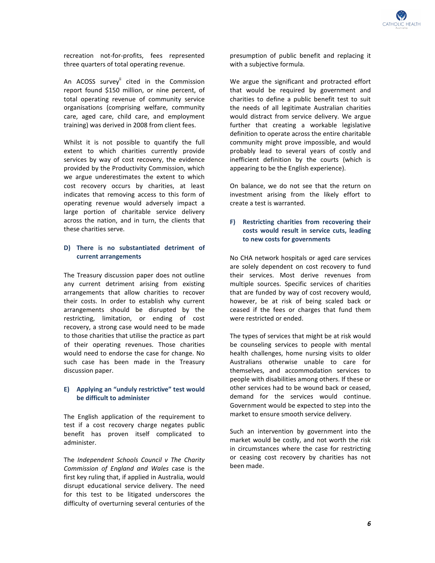

 recreation not-for-profits, fees represented three quarters of total operating revenue.

An ACOSS survey<sup>ii</sup> cited in the Commission report found \$150 million, or nine percent, of total operating revenue of community service organisations (comprising welfare, community care, aged care, child care, and employment training) was derived in 2008 from client fees.

 Whilst it is not possible to quantify the full extent to which charities currently provide services by way of cost recovery, the evidence provided by the Productivity Commission, which we argue underestimates the extent to which cost recovery occurs by charities, at least indicates that removing access to this form of operating revenue would adversely impact a large portion of charitable service delivery across the nation, and in turn, the clients that these charities serve.

## **D)** � **There is no substantiated detriment of current arrangements**

 The Treasury discussion paper does not outline any current detriment arising from existing arrangements that allow charities to recover their costs. In order to establish why current arrangements should be disrupted by the restricting, limitation, or ending of cost recovery, a strong case would need to be made to those charities that utilise the practice as part of their operating revenues. Those charities would need to endorse the case for change. No such case has been made in the Treasury discussion paper.

# **E)** � **Applying an "unduly restrictive" test would be difficult to administer**

 The English application of the requirement to test if a cost recovery charge negates public benefit has proven itself complicated to administer. administer.<br>The *Independent Schools Council v The Charity* 

 *Commission of England and Wales* case is the first key ruling that, if applied in Australia, would disrupt educational service delivery. The need for this test to be litigated underscores the difficulty of overturning several centuries of the  presumption of public benefit and replacing it with a subjective formula.

 We argue the significant and protracted effort that would be required by government and charities to define a public benefit test to suit the needs of all legitimate Australian charities would distract from service delivery. We argue further that creating a workable legislative definition to operate across the entire charitable community might prove impossible, and would probably lead to several years of costly and inefficient definition by the courts (which is appearing to be the English experience).

 On balance, we do not see that the return on investment arising from the likely effort to create a test is warranted.

# **F)** Restricting charities from recovering their  **costs would result in service cuts, leading to new costs for governments**

 No CHA network hospitals or aged care services are solely dependent on cost recovery to fund their services. Most derive revenues from multiple sources. Specific services of charities that are funded by way of cost recovery would, however, be at risk of being scaled back or ceased if the fees or charges that fund them were restricted or ended.

 The types of services that might be at risk would be counseling services to people with mental health challenges, home nursing visits to older Australians otherwise unable to care for themselves, and accommodation services to people with disabilities among others. If these or other services had to be wound back or ceased, demand for the services would continue. Government would be expected to step into the market to ensure smooth service delivery.

 Such an intervention by government into the market would be costly, and not worth the risk in circumstances where the case for restricting or ceasing cost recovery by charities has not been made.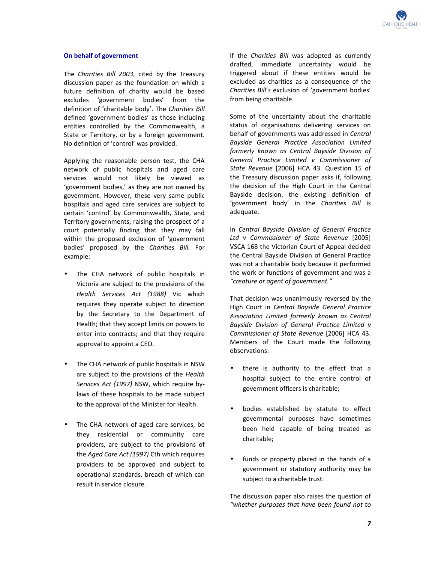

### **On behalf of government**

 The *Charities Bill 2003*, cited by the Treasury discussion paper as the foundation on which a future definition of charity would be based excludes 'government bodies' from the definition of 'charitable body'. The *Charities Bill*  defined 'government bodies' as those including entities controlled by the Commonwealth, a State or Territory, or by a foreign government. No definition of 'control' was provided.

 Applying the reasonable person test, the CHA network of public hospitals and aged care services would not likely be viewed as 'government bodies,' as they are not owned by government. However, these very same public hospitals and aged care services are subject to certain 'control' by Commonwealth, State, and Territory governments, raising the prospect of a court potentially finding that they may fall within the proposed exclusion of 'government bodies' proposed by the *Charities Bill.* For example:

- • The CHA network of public hospitals in Victoria are subject to the provisions of the  *Health Services Act (1988)* Vic which requires they operate subject to direction by the Secretary to the Department of Health; that they accept limits on powers to enter into contracts; and that they require approval to appoint a CEO.
- • The CHA network of public hospitals in NSW are subject to the provisions of the *Health Services Act (1997)* NSW, which require by- laws of these hospitals to be made subject to the approval of the Minister for Health.
- • The CHA network of aged care services, be they residential or community care providers, are subject to the provisions of  the *Aged Care Act (1997)* Cth which requires providers to be approved and subject to operational standards, breach of which can result in service closure.

 If the *Charities Bill* was adopted as currently drafted, immediate uncertainty would be triggered about if these entities would be excluded as charities as a consequence of the  *Charities Bill*'*s* exclusion of 'government bodies' from being charitable.

 Some of the uncertainty about the charitable status of organisations delivering services on behalf of governments was addressed in *Central Bayside General Practice Association Limited formerly known as Central Bayside Division of General Practice Limited v Commissioner of State Revenue* [2006] HCA 43. Question 15 of the Treasury discussion paper asks if, following the decision of the High Court in the Central Bayside decision, the existing definition of 'government body' in the *Charities Bill* is adequate.

adequate.<br>In *Central Bayside Division of General Practice Ltd v Commissioner of State Revenue* [2005] VSCA 168 the Victorian Court of Appeal decided the Central Bayside Division of General Practice was not a charitable body because it performed the work or functions of government and was a  *"creature or agent of government."* 

 That decision was unanimously reversed by the High Court in *Central Bayside General Practice Association Limited formerly known as Central Bayside Division of General Practice Limited v Commissioner of State Revenue* [2006] HCA 43. Members of the Court made the following observations:

- • there is authority to the effect that a hospital subject to the entire control of government officers is charitable;
- • bodies established by statute to effect governmental purposes have sometimes been held capable of being treated as charitable;
- • funds or property placed in the hands of a government or statutory authority may be subject to a charitable trust.

 The discussion paper also raises the question of  *"whether purposes that have been found not to*